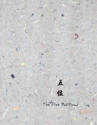The Five Positions

**五** 

 $\rightarrow$ 

**位**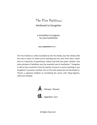# The Five Positions

Attributed to Dongshan

a translation in progress by Joan Sutherland

The Five Positions is often translated as the Five Ranks, but the Chinese title has more a sense of where you're standing and the view from there, rather than of a hierarchy of experiences. Hakuin said that this poem contains "the main principle of Buddhism and the essential road of meditation." Dongshan is said to have received it from his teacher Yunyan in a secret teaching; it was Dongshan's successor Caoshan who at the least preserved and developed it. There's a Japanese tradition of correlating the verses with *Yijing* trigrams, which are included.





All Rights Reserved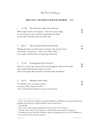## The Five Positions

### **FIRST CYCLE : THE PARTICULAR & THE UNIVERSAL**<sup>1</sup> 偏正

| $\mathbf{1}$                                                                                                                                                                                                           | 正中偏                                                                                                                                                 | The Particular within the Universal                                                                                                                                                   | ⋿ |
|------------------------------------------------------------------------------------------------------------------------------------------------------------------------------------------------------------------------|-----------------------------------------------------------------------------------------------------------------------------------------------------|---------------------------------------------------------------------------------------------------------------------------------------------------------------------------------------|---|
|                                                                                                                                                                                                                        |                                                                                                                                                     | When night's third watch begins, <sup>2</sup> before the moon's light,<br>it's not strange to meet without recognizing each other,<br>yet secretly recall the beauty of earlier days. | 툐 |
| 2                                                                                                                                                                                                                      | 偏中正                                                                                                                                                 | The Universal within the Particular                                                                                                                                                   |   |
|                                                                                                                                                                                                                        |                                                                                                                                                     | Missing the dawn, an old woman encounters the ancient mirror<br>and clearly sees her face $-$ there is no other reality $-$<br>never again confused about recognizing reflections.    | ≕ |
| 3                                                                                                                                                                                                                      | 正中來                                                                                                                                                 | Emerging from the Universal                                                                                                                                                           | ≡ |
| There is a road in the vastness that cuts through the dusts of the world.<br>⋿<br>Just avoid mentioning the emperor's name, <sup>3</sup><br>and you'll surpass those ancients who left people speechless. <sup>4</sup> |                                                                                                                                                     |                                                                                                                                                                                       |   |
| 4                                                                                                                                                                                                                      | 兼中至                                                                                                                                                 | Meeting in the Center                                                                                                                                                                 | ⋿ |
|                                                                                                                                                                                                                        | Two blades cross, no need to retreat:<br>an adept is like a lotus in the fire, <sup>5</sup><br>with a natural determination to soar to the heavens. |                                                                                                                                                                                       |   |

<sup>&</sup>lt;sup>1</sup> These two words are sometimes translated Absolute and Relative, but they literally mean Straight and Crooked, Upright and Bent; see the chart below

<sup>&</sup>lt;sup>2</sup> At midnight

 $\frac{3}{10}$  There was a taboo against speaking the name of the current emperor

<sup>4</sup> Literally, those who cut out tongues, a common Chan expression for eloquence

<sup>5</sup> An image from the *Sutra that Vimalakirti Speaks* of something very rare, the bodhisattva's vow to practice in the midst of passions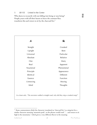#### 5 兼中到 United in the Center

Who dares to reconcile with not falling into being or non-being? People yearn with all their hearts to leave the constant flux; transform this and return to sit by the charcoal fire.<sup>6</sup>



**TEL TEL** 

 $6$  Some commentators think the character translated as 'charcoal fire' is a misprint for a similar character meaning 'mountain peak', so the phrase would read: "… and return to sit high in the mountains," which gives a very different flavor to the meaning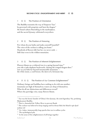#### **SECOND CYCLE : ENLIGHTENMENT AND MERIT** 功 動

#### 1  $\pi$   $\hat{\pi}$  The Position of Orientation

The Buddha transmits the way of Emperor Yao:<sup>7</sup> he governed with propriety and bent the dragon. $^8$ He found culture flourishing in the marketplace, and the sacred dynasty celebrated everywhere.

#### 2 奉 位 The Position of Honoring

For whom do you bathe and make yourself beautiful? The voice of the cuckoo is calling you home.<sup>9</sup> Hundreds of flowers fall, but her cry never ends — Still clear even in the wildest mountains.

#### 3 功位 The Position of Inherent Enlightenment

Flowers bloom on a withered tree in a spring beyond time;<sup>10</sup> you ride a jade elephant backwards, chasing the winged dragon-deer;<sup>11</sup> now as you hide far beyond innumerable mountains the white moon, a cool breeze, the dawn of a fortunate day.

4 共功位 The Position of Our Common Enlightenment<sup>12</sup>

Ordinary beings and buddhas have nothing to do with one another; mountains are high of themselves; waters are deep of themselves. What do all our distinctions and differences reveal? Where the partridge cries, many flowers bloom.

 $7$  Yao was the heroic founder of China's first dynasty, the semi-legendary Xia, predating Shakyamuni Buddha

<sup>8</sup> That is, channeled the Yellow River to prevent floods

<sup>&</sup>lt;sup>9</sup> The cuckoo was believed to keep singing until its throat bled; the blood it spit dyed azaleas red

<sup>10</sup> Lit., *kalpas*, immeasurably long epochs that run in endless cycles

<sup>11</sup> The mythological *qilin*

<sup>&</sup>lt;sup>12</sup> In the sense of the enlightenment of all beings together